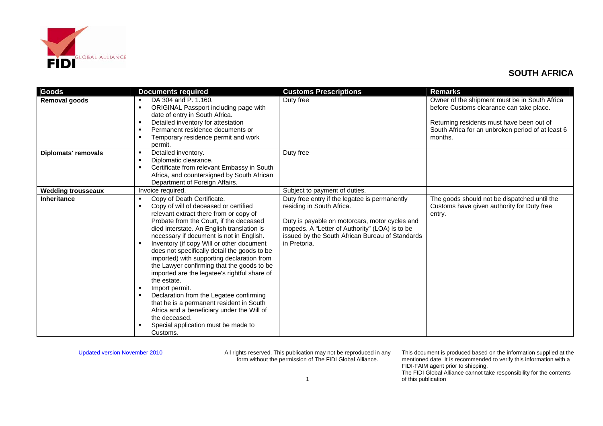

| Goods                      | <b>Documents required</b>                                                                                                                                                                                                                                                                                                                                                                                                                                                                                                                                                                                                                                                                                                                                                | <b>Customs Prescriptions</b>                                                                                                                                                                                                                      | <b>Remarks</b>                                                                                                                                                                                         |
|----------------------------|--------------------------------------------------------------------------------------------------------------------------------------------------------------------------------------------------------------------------------------------------------------------------------------------------------------------------------------------------------------------------------------------------------------------------------------------------------------------------------------------------------------------------------------------------------------------------------------------------------------------------------------------------------------------------------------------------------------------------------------------------------------------------|---------------------------------------------------------------------------------------------------------------------------------------------------------------------------------------------------------------------------------------------------|--------------------------------------------------------------------------------------------------------------------------------------------------------------------------------------------------------|
| <b>Removal goods</b>       | DA 304 and P. 1.160.<br>л.<br>ORIGINAL Passport including page with<br>$\blacksquare$<br>date of entry in South Africa.<br>Detailed inventory for attestation<br>$\blacksquare$<br>Permanent residence documents or<br>$\blacksquare$<br>Temporary residence permit and work<br>$\blacksquare$<br>permit.                                                                                                                                                                                                                                                                                                                                                                                                                                                                | Duty free                                                                                                                                                                                                                                         | Owner of the shipment must be in South Africa<br>before Customs clearance can take place.<br>Returning residents must have been out of<br>South Africa for an unbroken period of at least 6<br>months. |
| <b>Diplomats' removals</b> | Detailed inventory.<br>٠<br>Diplomatic clearance.<br>٠<br>Certificate from relevant Embassy in South<br>л.<br>Africa, and countersigned by South African<br>Department of Foreign Affairs.                                                                                                                                                                                                                                                                                                                                                                                                                                                                                                                                                                               | Duty free                                                                                                                                                                                                                                         |                                                                                                                                                                                                        |
| <b>Wedding trousseaux</b>  | Invoice required.                                                                                                                                                                                                                                                                                                                                                                                                                                                                                                                                                                                                                                                                                                                                                        | Subject to payment of duties.                                                                                                                                                                                                                     |                                                                                                                                                                                                        |
| <b>Inheritance</b>         | Copy of Death Certificate.<br>٠<br>Copy of will of deceased or certified<br>$\blacksquare$<br>relevant extract there from or copy of<br>Probate from the Court, if the deceased<br>died interstate. An English translation is<br>necessary if document is not in English.<br>Inventory (if copy Will or other document<br>does not specifically detail the goods to be<br>imported) with supporting declaration from<br>the Lawyer confirming that the goods to be<br>imported are the legatee's rightful share of<br>the estate.<br>Import permit.<br>л.<br>Declaration from the Legatee confirming<br>л.<br>that he is a permanent resident in South<br>Africa and a beneficiary under the Will of<br>the deceased.<br>Special application must be made to<br>Customs. | Duty free entry if the legatee is permanently<br>residing in South Africa.<br>Duty is payable on motorcars, motor cycles and<br>mopeds. A "Letter of Authority" (LOA) is to be<br>issued by the South African Bureau of Standards<br>in Pretoria. | The goods should not be dispatched until the<br>Customs have given authority for Duty free<br>entry.                                                                                                   |

Updated version November 2010 All rights reserved. This publication may not be reproduced in any form without the permission of The FIDI Global Alliance.

This document is produced based on the information supplied at the mentioned date. It is recommended to verify this information with a FIDI-FAIM agent prior to shipping.

The FIDI Global Alliance cannot take responsibility for the contents of this publication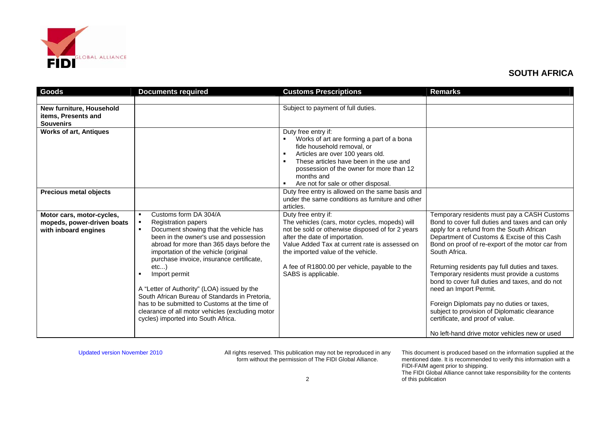

| Goods                                                                           | <b>Documents required</b>                                                                                                                                                                                                                                                                                                                                                                                                                                                                                                                                                                               | <b>Customs Prescriptions</b>                                                                                                                                                                                                                                                                                                | <b>Remarks</b>                                                                                                                                                                                                                                                                                                                                                                                                                                                                                                                                                                                                                  |
|---------------------------------------------------------------------------------|---------------------------------------------------------------------------------------------------------------------------------------------------------------------------------------------------------------------------------------------------------------------------------------------------------------------------------------------------------------------------------------------------------------------------------------------------------------------------------------------------------------------------------------------------------------------------------------------------------|-----------------------------------------------------------------------------------------------------------------------------------------------------------------------------------------------------------------------------------------------------------------------------------------------------------------------------|---------------------------------------------------------------------------------------------------------------------------------------------------------------------------------------------------------------------------------------------------------------------------------------------------------------------------------------------------------------------------------------------------------------------------------------------------------------------------------------------------------------------------------------------------------------------------------------------------------------------------------|
| New furniture, Household<br>items, Presents and<br><b>Souvenirs</b>             |                                                                                                                                                                                                                                                                                                                                                                                                                                                                                                                                                                                                         | Subject to payment of full duties.                                                                                                                                                                                                                                                                                          |                                                                                                                                                                                                                                                                                                                                                                                                                                                                                                                                                                                                                                 |
| <b>Works of art, Antiques</b>                                                   |                                                                                                                                                                                                                                                                                                                                                                                                                                                                                                                                                                                                         | Duty free entry if:<br>Works of art are forming a part of a bona<br>fide household removal, or<br>Articles are over 100 years old.<br>٠<br>These articles have been in the use and<br>$\blacksquare$<br>possession of the owner for more than 12<br>months and<br>Are not for sale or other disposal.                       |                                                                                                                                                                                                                                                                                                                                                                                                                                                                                                                                                                                                                                 |
| <b>Precious metal objects</b>                                                   |                                                                                                                                                                                                                                                                                                                                                                                                                                                                                                                                                                                                         | Duty free entry is allowed on the same basis and<br>under the same conditions as furniture and other<br>articles.                                                                                                                                                                                                           |                                                                                                                                                                                                                                                                                                                                                                                                                                                                                                                                                                                                                                 |
| Motor cars, motor-cycles,<br>mopeds, power-driven boats<br>with inboard engines | Customs form DA 304/A<br>$\blacksquare$<br><b>Registration papers</b><br>$\blacksquare$<br>Document showing that the vehicle has<br>$\blacksquare$<br>been in the owner's use and possession<br>abroad for more than 365 days before the<br>importation of the vehicle (original<br>purchase invoice, insurance certificate,<br>etc<br>Import permit<br>л.<br>A "Letter of Authority" (LOA) issued by the<br>South African Bureau of Standards in Pretoria,<br>has to be submitted to Customs at the time of<br>clearance of all motor vehicles (excluding motor<br>cycles) imported into South Africa. | Duty free entry if:<br>The vehicles (cars, motor cycles, mopeds) will<br>not be sold or otherwise disposed of for 2 years<br>after the date of importation.<br>Value Added Tax at current rate is assessed on<br>the imported value of the vehicle.<br>A fee of R1800.00 per vehicle, payable to the<br>SABS is applicable. | Temporary residents must pay a CASH Customs<br>Bond to cover full duties and taxes and can only<br>apply for a refund from the South African<br>Department of Customs & Excise of this Cash<br>Bond on proof of re-export of the motor car from<br>South Africa.<br>Returning residents pay full duties and taxes.<br>Temporary residents must provide a customs<br>bond to cover full duties and taxes, and do not<br>need an Import Permit.<br>Foreign Diplomats pay no duties or taxes,<br>subject to provision of Diplomatic clearance<br>certificate, and proof of value.<br>No left-hand drive motor vehicles new or used |

Updated version November 2010 All rights reserved. This publication may not be reproduced in any form without the permission of The FIDI Global Alliance.

This document is produced based on the information supplied at the mentioned date. It is recommended to verify this information with a FIDI-FAIM agent prior to shipping. The FIDI Global Alliance cannot take responsibility for the contents of this publication

2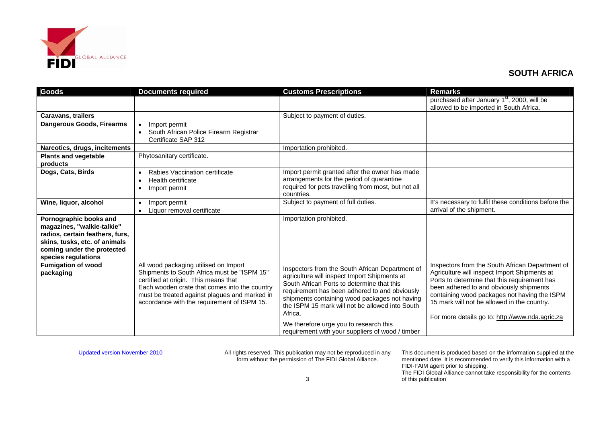

| Goods                                                                                                                                                                         | <b>Documents required</b>                                                                                                                                                                                                                                                     | <b>Customs Prescriptions</b>                                                                                                                                                                                                                                                                                                                                                                                | <b>Remarks</b>                                                                                                                                                                                                                                                                                                                               |
|-------------------------------------------------------------------------------------------------------------------------------------------------------------------------------|-------------------------------------------------------------------------------------------------------------------------------------------------------------------------------------------------------------------------------------------------------------------------------|-------------------------------------------------------------------------------------------------------------------------------------------------------------------------------------------------------------------------------------------------------------------------------------------------------------------------------------------------------------------------------------------------------------|----------------------------------------------------------------------------------------------------------------------------------------------------------------------------------------------------------------------------------------------------------------------------------------------------------------------------------------------|
|                                                                                                                                                                               |                                                                                                                                                                                                                                                                               |                                                                                                                                                                                                                                                                                                                                                                                                             | purchased after January 1 <sup>st</sup> , 2000, will be<br>allowed to be imported in South Africa.                                                                                                                                                                                                                                           |
| <b>Caravans, trailers</b>                                                                                                                                                     |                                                                                                                                                                                                                                                                               | Subject to payment of duties.                                                                                                                                                                                                                                                                                                                                                                               |                                                                                                                                                                                                                                                                                                                                              |
| Dangerous Goods, Firearms                                                                                                                                                     | Import permit<br>$\bullet$<br>South African Police Firearm Registrar<br>Certificate SAP 312                                                                                                                                                                                   |                                                                                                                                                                                                                                                                                                                                                                                                             |                                                                                                                                                                                                                                                                                                                                              |
| Narcotics, drugs, incitements                                                                                                                                                 |                                                                                                                                                                                                                                                                               | Importation prohibited.                                                                                                                                                                                                                                                                                                                                                                                     |                                                                                                                                                                                                                                                                                                                                              |
| <b>Plants and vegetable</b><br>products                                                                                                                                       | Phytosanitary certificate.                                                                                                                                                                                                                                                    |                                                                                                                                                                                                                                                                                                                                                                                                             |                                                                                                                                                                                                                                                                                                                                              |
| Dogs, Cats, Birds                                                                                                                                                             | Rabies Vaccination certificate<br>Health certificate<br>Import permit                                                                                                                                                                                                         | Import permit granted after the owner has made<br>arrangements for the period of quarantine<br>required for pets travelling from most, but not all<br>countries.                                                                                                                                                                                                                                            |                                                                                                                                                                                                                                                                                                                                              |
| Wine, liquor, alcohol                                                                                                                                                         | Import permit<br>$\bullet$<br>Liquor removal certificate                                                                                                                                                                                                                      | Subject to payment of full duties.                                                                                                                                                                                                                                                                                                                                                                          | It's necessary to fulfil these conditions before the<br>arrival of the shipment.                                                                                                                                                                                                                                                             |
| Pornographic books and<br>magazines, "walkie-talkie"<br>radios, certain feathers, furs,<br>skins, tusks, etc. of animals<br>coming under the protected<br>species regulations |                                                                                                                                                                                                                                                                               | Importation prohibited.                                                                                                                                                                                                                                                                                                                                                                                     |                                                                                                                                                                                                                                                                                                                                              |
| <b>Fumigation of wood</b><br>packaging                                                                                                                                        | All wood packaging utilised on Import<br>Shipments to South Africa must be "ISPM 15"<br>certified at origin. This means that<br>Each wooden crate that comes into the country<br>must be treated against plagues and marked in<br>accordance with the requirement of ISPM 15. | Inspectors from the South African Department of<br>agriculture will inspect Import Shipments at<br>South African Ports to determine that this<br>requirement has been adhered to and obviously<br>shipments containing wood packages not having<br>the ISPM 15 mark will not be allowed into South<br>Africa.<br>We therefore urge you to research this<br>requirement with your suppliers of wood / timber | Inspectors from the South African Department of<br>Agriculture will inspect Import Shipments at<br>Ports to determine that this requirement has<br>been adhered to and obviously shipments<br>containing wood packages not having the ISPM<br>15 mark will not be allowed in the country.<br>For more details go to: http://www.nda.agric.za |

Updated version November 2010 All rights reserved. This publication may not be reproduced in any form without the permission of The FIDI Global Alliance.

This document is produced based on the information supplied at the mentioned date. It is recommended to verify this information with a FIDI-FAIM agent prior to shipping. The FIDI Global Alliance cannot take responsibility for the contents of this publication